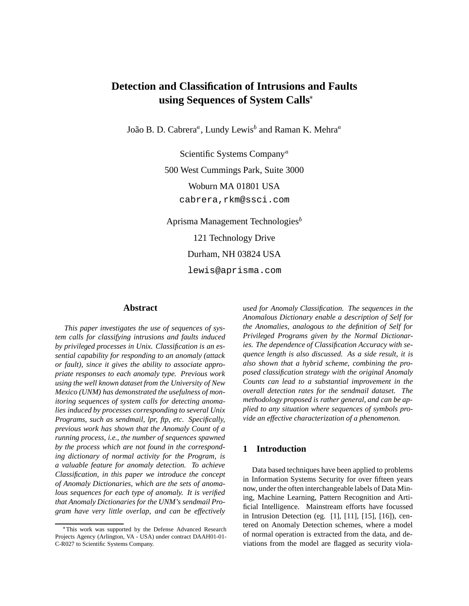# **Detection and Classification of Intrusions and Faults using Sequences of System Calls**

João B. D. Cabrera $^a$ , Lundy Lewis $^b$  and Raman K. Mehra $^a$ 

Scientific Systems Company<sup>a</sup> 500 West Cummings Park, Suite 3000 Woburn MA 01801 USA cabrera,rkm@ssci.com

Aprisma Management Technologies<sup>b</sup> 121 Technology Drive Durham, NH 03824 USA lewis@aprisma.com

### **Abstract**

*This paper investigates the use of sequences of system calls for classifying intrusions and faults induced by privileged processes in Unix. Classification is an essential capability for responding to an anomaly (attack or fault), since it gives the ability to associate appropriate responses to each anomaly type. Previous work using the well known dataset from the University of New Mexico (UNM) has demonstrated the usefulness of monitoring sequences of system calls for detecting anomalies induced by processes corresponding to several Unix Programs, such as sendmail, lpr, ftp, etc. Specifically, previous work has shown that the Anomaly Count of a running process, i.e., the number of sequences spawned by the process which are not found in the corresponding dictionary of normal activity for the Program, is a valuable feature for anomaly detection. To achieve Classification, in this paper we introduce the concept of Anomaly Dictionaries, which are the sets of anomalous sequences for each type of anomaly. It is verified that Anomaly Dictionaries for the UNM's sendmail Program have very little overlap, and can be effectively*

*used for Anomaly Classification. The sequences in the Anomalous Dictionary enable a description of Self for the Anomalies, analogous to the definition of Self for Privileged Programs given by the Normal Dictionaries. The dependence of Classification Accuracy with sequence length is also discussed. As a side result, it is also shown that a hybrid scheme, combining the proposed classification strategy with the original Anomaly Counts can lead to a substantial improvement in the overall detection rates for the sendmail dataset. The methodology proposed is rather general, and can be applied to any situation where sequences of symbols provide an effective characterization of a phenomenon.*

### **1 Introduction**

Data based techniques have been applied to problems in Information Systems Security for over fifteen years now, under the often interchangeable labels of Data Mining, Machine Learning, Pattern Recognition and Artificial Intelligence. Mainstream efforts have focussed in Intrusion Detection (eg. [1], [11], [15], [16]), centered on Anomaly Detection schemes, where a model of normal operation is extracted from the data, and deviations from the model are flagged as security viola-

This work was supported by the Defense Advanced Research Projects Agency (Arlington, VA - USA) under contract DAAH01-01- C-R027 to Scientific Systems Company.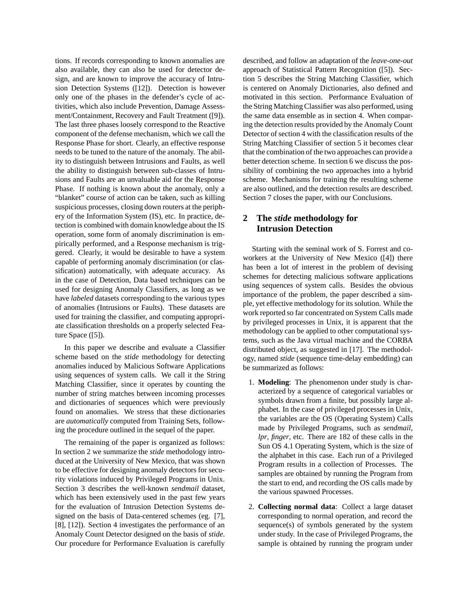tions. If records corresponding to known anomalies are also available, they can also be used for detector design, and are known to improve the accuracy of Intrusion Detection Systems ([12]). Detection is however only one of the phases in the defender's cycle of activities, which also include Prevention, Damage Assessment/Containment, Recovery and Fault Treatment ([9]). The last three phases loosely correspond to the Reactive component of the defense mechanism, which we call the Response Phase for short. Clearly, an effective response needs to be tuned to the nature of the anomaly. The ability to distinguish between Intrusions and Faults, as well the ability to distinguish between sub-classes of Intrusions and Faults are an unvaluable aid for the Response Phase. If nothing is known about the anomaly, only a "blanket" course of action can be taken, such as killing suspicious processes, closing down routers at the periphery of the Information System (IS), etc. In practice, detection is combined with domain knowledge about the IS operation, some form of anomaly discrimination is empirically performed, and a Response mechanism is triggered. Clearly, it would be desirable to have a system capable of performing anomaly discrimination (or classification) automatically, with adequate accuracy. As in the case of Detection, Data based techniques can be used for designing Anomaly Classifiers, as long as we have *labeled* datasets corresponding to the various types of anomalies (Intrusions or Faults). These datasets are used for training the classifier, and computing appropriate classification thresholds on a properly selected Feature Space ([5]).

In this paper we describe and evaluate a Classifier scheme based on the *stide* methodology for detecting anomalies induced by Malicious Software Applications using sequences of system calls. We call it the String Matching Classifier, since it operates by counting the number of string matches between incoming processes and dictionaries of sequences which were previously found on anomalies. We stress that these dictionaries are *automatically* computed from Training Sets, following the procedure outlined in the sequel of the paper.

The remaining of the paper is organized as follows: In section 2 we summarize the *stide* methodology introduced at the University of New Mexico, that was shown to be effective for designing anomaly detectors for security violations induced by Privileged Programs in Unix. Section 3 describes the well-known *sendmail* dataset, which has been extensively used in the past few years for the evaluation of Intrusion Detection Systems designed on the basis of Data-centered schemes (eg. [7], [8], [12]). Section 4 investigates the performance of an Anomaly Count Detector designed on the basis of *stide*. Our procedure for Performance Evaluation is carefully described, and follow an adaptation of the *leave-one-out* approach of Statistical Pattern Recognition ([5]). Section 5 describes the String Matching Classifier, which is centered on Anomaly Dictionaries, also defined and motivated in this section. Performance Evaluation of the String Matching Classifier was also performed, using the same data ensemble as in section 4. When comparing the detection results provided by the Anomaly Count Detector of section 4 with the classification results of the String Matching Classifier of section 5 it becomes clear that the combination of the two approaches can provide a better detection scheme. In section 6 we discuss the possibility of combining the two approaches into a hybrid scheme. Mechanisms for training the resulting scheme are also outlined, and the detection results are described. Section 7 closes the paper, with our Conclusions.

# **2 The** *stide* **methodology for Intrusion Detection**

Starting with the seminal work of S. Forrest and coworkers at the University of New Mexico ([4]) there has been a lot of interest in the problem of devising schemes for detecting malicious software applications using sequences of system calls. Besides the obvious importance of the problem, the paper described a simple, yet effective methodology for its solution. While the work reported so far concentrated on System Calls made by privileged processes in Unix, it is apparent that the methodology can be applied to other computational systems, such as the Java virtual machine and the CORBA distributed object, as suggested in [17]. The methodology, named *stide* (sequence time-delay embedding) can be summarized as follows:

- 1. **Modeling**: The phenomenon under study is characterized by a sequence of categorical variables or symbols drawn from a finite, but possibly large alphabet. In the case of privileged processes in Unix, the variables are the OS (Operating System) Calls made by Privileged Programs, such as *sendmail*, *lpr*, *finger*, etc. There are 182 of these calls in the Sun OS 4.1 Operating System, which is the size of the alphabet in this case. Each run of a Privileged Program results in a collection of Processes. The samples are obtained by running the Program from the start to end, and recording the OS calls made by the various spawned Processes.
- 2. **Collecting normal data**: Collect a large dataset corresponding to normal operation, and record the sequence(s) of symbols generated by the system under study. In the case of Privileged Programs, the sample is obtained by running the program under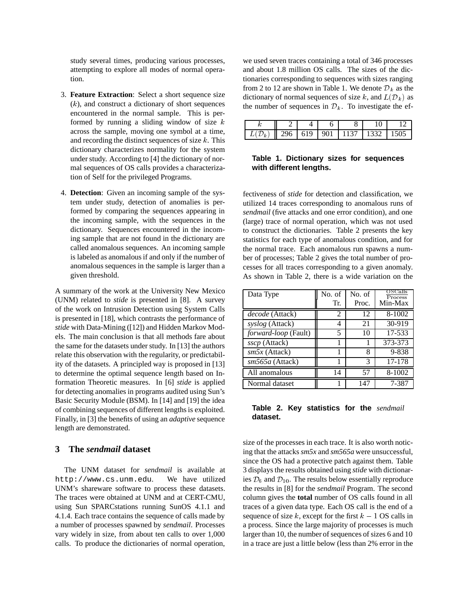study several times, producing various processes, attempting to explore all modes of normal operation.

- 3. **Feature Extraction**: Select a short sequence size  $(k)$ , and construct a dictionary of short sequences encountered in the normal sample. This is performed by running a sliding window of size  $k$ across the sample, moving one symbol at a time, and recording the distinct sequences of size  $k$ . This dictionary characterizes normality for the system under study. According to [4] the dictionary of normal sequences of OS calls provides a characterization of Self for the privileged Programs.
- 4. **Detection**: Given an incoming sample of the system under study, detection of anomalies is performed by comparing the sequences appearing in the incoming sample, with the sequences in the dictionary. Sequences encountered in the incoming sample that are not found in the dictionary are called anomalous sequences. An incoming sample is labeled as anomalous if and only if the number of anomalous sequences in the sample is larger than a given threshold.

A summary of the work at the University New Mexico (UNM) related to *stide* is presented in [8]. A survey of the work on Intrusion Detection using System Calls is presented in [18], which contrasts the performance of *stide* with Data-Mining ([12]) and Hidden Markov Models. The main conclusion is that all methods fare about the same for the datasets under study. In [13] the authors relate this observation with the regularity, or predictability of the datasets. A principled way is proposed in [13] to determine the optimal sequence length based on Information Theoretic measures. In [6] *stide* is applied for detecting anomalies in programs audited using Sun's Basic Security Module (BSM). In [14] and [19] the idea of combining sequences of different lengths is exploited. Finally, in [3] the benefits of using an *adaptive* sequence length are demonstrated.

### **3 The** *sendmail* **dataset**

The UNM dataset for *sendmail* is available at http://www.cs.unm.edu. We have utilized UNM's shareware software to process these datasets. The traces were obtained at UNM and at CERT-CMU, using Sun SPARCstations running SunOS 4.1.1 and 4.1.4. Each trace contains the sequence of calls made by a number of processes spawned by *sendmail*. Processes vary widely in size, from about ten calls to over 1,000 calls. To produce the dictionaries of normal operation,

we used seven traces containing a total of 346 processes and about 1.8 million OS calls. The sizes of the dictionaries corresponding to sequences with sizes ranging from 2 to 12 are shown in Table 1. We denote  $\mathcal{D}_k$  as the dictionary of normal sequences of size k, and  $L(\mathcal{D}_k)$  as the number of sequences in  $\mathcal{D}_k$ . To investigate the ef-

|   |     |     |     |      | ◡    |  |
|---|-----|-----|-----|------|------|--|
| к | 296 | 619 | 901 | 1137 | 1332 |  |

### **Table 1. Dictionary sizes for sequences with different lengths.**

fectiveness of *stide* for detection and classification, we utilized 14 traces corresponding to anomalous runs of *sendmail* (five attacks and one error condition), and one (large) trace of normal operation, which was not used to construct the dictionaries. Table 2 presents the key statistics for each type of anomalous condition, and for the normal trace. Each anomalous run spawns a number of processes; Table 2 gives the total number of processes for all traces corresponding to a given anomaly. As shown in Table 2, there is a wide variation on the

| Data Type                   | No. of | No. of | OSCalls<br>Process |
|-----------------------------|--------|--------|--------------------|
|                             | Tr.    | Proc.  | Min-Max            |
| decode (Attack)             | 2      | 12     | 8-1002             |
| syslog (Attack)             | 4      | 21     | 30-919             |
| <i>forward-loop</i> (Fault) | 5      | 10     | 17-533             |
| <i>sscp</i> (Attack)        |        |        | 373-373            |
| $sm5x$ (Attack)             |        | 8      | 9-838              |
| sm565a (Attack)             |        | 3      | 17-178             |
| All anomalous               | 14     | 57     | 8-1002             |
| Normal dataset              |        | 147    | 7-387              |

**Table 2. Key statistics for the** *sendmail* **dataset.**

size of the processes in each trace. It is also worth noticing that the attacks *sm5x* and *sm565a* were unsuccessful, since the OS had a protective patch against them. Table 3 displays the results obtained using *stide* with dictionaries  $\mathcal{D}_6$  and  $\mathcal{D}_{10}$ . The results below essentially reproduce the results in [8] for the *sendmail* Program. The second column gives the **total** number of OS calls found in all traces of a given data type. Each OS call is the end of a sequence of size k, except for the first  $k - 1$  OS calls in a process. Since the large majority of processes is much larger than 10, the number of sequences of sizes 6 and 10 in a trace are just a little below (less than 2% error in the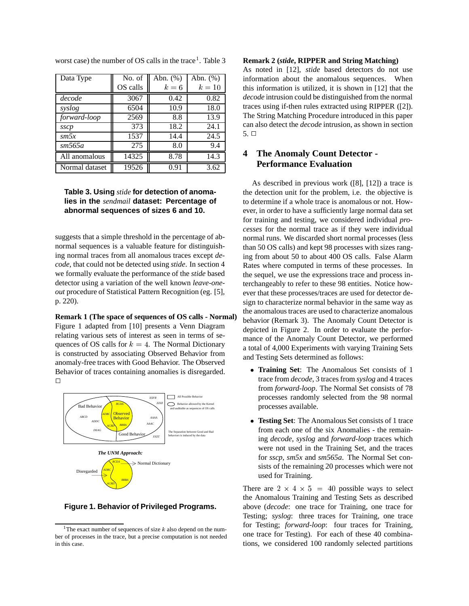| Data Type       | No. of   | Abn. (%) | Abn. $(\%)$ |
|-----------------|----------|----------|-------------|
|                 | OS calls | $k=6$    | $k=10$      |
| decode          | 3067     | 0.42     | 0.82        |
| syslog          | 6504     | 10.9     | 18.0        |
| forward-loop    | 2569     | 8.8      | 13.9        |
| sscp            | 373      | 18.2     | 24.1        |
| $\mathit{sm5x}$ | 1537     | 14.4     | 24.5        |
| sm565a          | 275      | 8.0      | 9.4         |
| All anomalous   | 14325    | 8.78     | 14.3        |
| Normal dataset  | 19526    | 0.91     | 3.62        |

worst case) the number of OS calls in the trace<sup>1</sup>. Table 3

### **Table 3. Using** *stide* **for detection of anomalies in the** *sendmail* **dataset: Percentage of abnormal sequences of sizes 6 and 10.**

suggests that a simple threshold in the percentage of abnormal sequences is a valuable feature for distinguishing normal traces from all anomalous traces except *decode*, that could not be detected using *stide*. In section 4 we formally evaluate the performance of the *stide* based detector using a variation of the well known *leave-oneout* procedure of Statistical Pattern Recognition (eg. [5], p. 220).

**Remark 1 (The space of sequences of OS calls - Normal)**

Figure 1 adapted from [10] presents a Venn Diagram relating various sets of interest as seen in terms of sequences of OS calls for  $k = 4$ . The Normal Dictionary is constructed by associating Observed Behavior from anomaly-free traces with Good Behavior. The Observed Behavior of traces containing anomalies is disregarded.  $\Box$ 





<sup>&</sup>lt;sup>1</sup>The exact number of sequences of size  $k$  also depend on the number of processes in the trace, but a precise computation is not needed in this case.

#### **Remark 2 (***stide***, RIPPER and String Matching)**

As noted in [12], *stide* based detectors do not use information about the anomalous sequences. When this information is utilized, it is shown in [12] that the *decode* intrusion could be distinguished from the normal traces using if-then rules extracted using RIPPER ([2]). The String Matching Procedure introduced in this paper can also detect the *decode* intrusion, as shown in section  $5. \Box$ 

# **4 The Anomaly Count Detector - Performance Evaluation**

As described in previous work ([8], [12]) a trace is the detection unit for the problem, i.e. the objective is to determine if a whole trace is anomalous or not. However, in order to have a sufficiently large normal data set for training and testing, we considered individual *processes* for the normal trace as if they were individual normal runs. We discarded short normal processes (less than 50 OS calls) and kept 98 processes with sizes ranging from about 50 to about 400 OS calls. False Alarm Rates where computed in terms of these processes. In the sequel, we use the expressions trace and process interchangeably to refer to these 98 entities. Notice however that these processes/traces are used for detector design to characterize normal behavior in the same way as the anomalous traces are used to characterize anomalous behavior (Remark 3). The Anomaly Count Detector is depicted in Figure 2. In order to evaluate the performance of the Anomaly Count Detector, we performed a total of 4,000 Experiments with varying Training Sets and Testing Sets determined as follows:

- **Training Set**: The Anomalous Set consists of 1 trace from *decode*, 3 traces from *syslog* and 4 traces from *forward-loop*. The Normal Set consists of 78 processes randomly selected from the 98 normal processes available.
- **Testing Set**: The Anomalous Set consists of 1 trace from each one of the six Anomalies - the remaining *decode*, *syslog* and *forward-loop* traces which were not used in the Training Set, and the traces for *sscp*, *sm5x* and *sm565a*. The Normal Set consists of the remaining 20 processes which were not used for Training.

There are  $2 \times 4 \times 5 = 40$  possible ways to select the Anomalous Training and Testing Sets as described above (*decode*: one trace for Training, one trace for Testing; *syslog*: three traces for Training, one trace for Testing; *forward-loop*: four traces for Training, one trace for Testing). For each of these 40 combinations, we considered 100 randomly selected partitions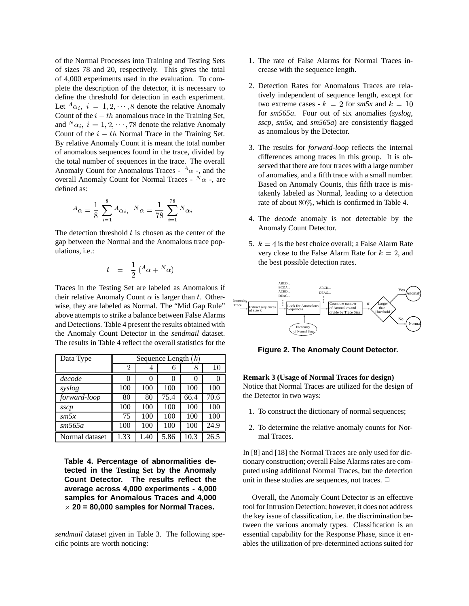of the Normal Processes into Training and Testing Sets of sizes 78 and 20, respectively. This gives the total of 4,000 experiments used in the evaluation. To complete the description of the detector, it is necessary to define the threshold for detection in each experiment. Let  ${}^A\alpha_i$ ,  $i = 1, 2, \dots, 8$  denote the relative Anomaly Count of the  $i - th$  anomalous trace in the Training Set, and  $^N\alpha_i$ ,  $i = 1, 2, \dots, 78$  denote the relative Anomaly Count of the  $i - th$  Normal Trace in the Training Set. By relative Anomaly Count it is meant the total number of anomalous sequences found in the trace, divided by the total number of sequences in the trace. The overall Anomaly Count for Anomalous Traces -  ${}^A\alpha$  -, and the overall Anomaly Count for Normal Traces -  $N\alpha$  -, are defined as:

$$
{}^{A} \alpha = \frac{1}{8} \sum_{i=1}^{8} {}^{A} \alpha_i, \quad {}^{N} \alpha = \frac{1}{78} \sum_{i=1}^{78} {}^{N} \alpha_i
$$

The detection threshold  $t$  is chosen as the center of the gap between the Normal and the Anomalous trace populations, i.e.:

$$
t = \frac{1}{2} (A_{\alpha} + {^N}\alpha)
$$

Traces in the Testing Set are labeled as Anomalous if their relative Anomaly Count  $\alpha$  is larger than t. Otherwise, they are labeled as Normal. The "Mid Gap Rule" above attempts to strike a balance between False Alarms and Detections. Table 4 present the results obtained with the Anomaly Count Detector in the *sendmail* dataset. The results in Table 4 reflect the overall statistics for the

| Data Type       |      | Sequence Length $(k)$ |      |          |      |    |
|-----------------|------|-----------------------|------|----------|------|----|
|                 | 2    | 4                     | 6    | 8        | 10   |    |
| decode          | 0    |                       | 0    | $\theta$ |      | R  |
| syslog          | 100  | 100                   | 100  | 100      | 100  | N  |
| forward-loop    | 80   | 80                    | 75.4 | 66.4     | 70.6 | th |
| sscp            | 100  | 100                   | 100  | 100      | 100  |    |
| $\mathit{sm5x}$ | 75   | 100                   | 100  | 100      | 100  |    |
| sm565a          | 100  | 100                   | 100  | 100      | 24.9 |    |
| Normal dataset  | 1.33 | 1.40                  | 5.86 | 10.3     | 26.5 |    |

**Table 4. Percentage of abnormalities detected in the Testing Set by the Anomaly Count Detector. The results reflect the average across 4,000 experiments - 4,000 samples for Anomalous Traces and 4,000**  $\times$  20 = 80,000 samples for Normal Traces.

*sendmail* dataset given in Table 3. The following specific points are worth noticing:

- 1. The rate of False Alarms for Normal Traces increase with the sequence length.
- 2. Detection Rates for Anomalous Traces are relatively independent of sequence length, except for two extreme cases -  $k = 2$  for  $sm5x$  and  $k = 10$ for *sm565a*. Four out of six anomalies (*syslog*, *sscp*, *sm5x*, and *sm565a*) are consistently flagged as anomalous by the Detector.
- 3. The results for *forward-loop* reflects the internal differences among traces in this group. It is observed that there are four traces with a large number of anomalies, and a fifth trace with a small number. Based on Anomaly Counts, this fifth trace is mistakenly labeled as Normal, leading to a detection rate of about 80%, which is confirmed in Table 4.
- 4. The *decode* anomaly is not detectable by the Anomaly Count Detector.
- 5.  $k = 4$  is the best choice overall; a False Alarm Rate very close to the False Alarm Rate for  $k = 2$ , and the best possible detection rates.



**Figure 2. The Anomaly Count Detector.**

### **Remark 3 (Usage of Normal Traces for design)**

Notice that Normal Traces are utilized for the design of the Detector in two ways:

- 1. To construct the dictionary of normal sequences;
- 2. To determine the relative anomaly counts for Normal Traces.

In [8] and [18] the Normal Traces are only used for dictionary construction; overall False Alarms rates are computed using additional Normal Traces, but the detection unit in these studies are sequences, not traces.  $\Box$ 

Overall, the Anomaly Count Detector is an effective tool for Intrusion Detection; however, it does not address the key issue of classification, i.e. the discrimination between the various anomaly types. Classification is an essential capability for the Response Phase, since it enables the utilization of pre-determined actions suited for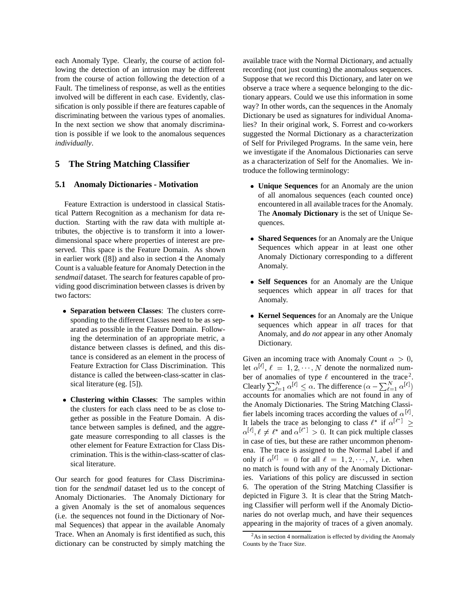each Anomaly Type. Clearly, the course of action following the detection of an intrusion may be different from the course of action following the detection of a Fault. The timeliness of response, as well as the entities involved will be different in each case. Evidently, classification is only possible if there are features capable of discriminating between the various types of anomalies. In the next section we show that anomaly discrimination is possible if we look to the anomalous sequences *individually*.

## **5 The String Matching Classifier**

### **5.1 Anomaly Dictionaries - Motivation**

Feature Extraction is understood in classical Statistical Pattern Recognition as a mechanism for data reduction. Starting with the raw data with multiple attributes, the objective is to transform it into a lowerdimensional space where properties of interest are preserved. This space is the Feature Domain. As shown in earlier work ([8]) and also in section 4 the Anomaly Count is a valuable feature for Anomaly Detection in the *sendmail* dataset. The search for features capable of providing good discrimination between classes is driven by two factors:

- **Separation between Classes**: The clusters corresponding to the different Classes need to be as separated as possible in the Feature Domain. Following the determination of an appropriate metric, a distance between classes is defined, and this distance is considered as an element in the process of Feature Extraction for Class Discrimination. This distance is called the between-class-scatter in classical literature (eg. [5]).
- **Clustering within Classes**: The samples within the clusters for each class need to be as close together as possible in the Feature Domain. A distance between samples is defined, and the aggregate measure corresponding to all classes is the other element for Feature Extraction for Class Discrimination. This is the within-class-scatter of classical literature.

Our search for good features for Class Discrimination for the *sendmail* dataset led us to the concept of Anomaly Dictionaries. The Anomaly Dictionary for a given Anomaly is the set of anomalous sequences (i.e. the sequences not found in the Dictionary of Normal Sequences) that appear in the available Anomaly Trace. When an Anomaly is first identified as such, this dictionary can be constructed by simply matching the available trace with the Normal Dictionary, and actually recording (not just counting) the anomalous sequences. Suppose that we record this Dictionary, and later on we observe a trace where a sequence belonging to the dictionary appears. Could we use this information in some way? In other words, can the sequences in the Anomaly Dictionary be used as signatures for individual Anomalies? In their original work, S. Forrest and co-workers suggested the Normal Dictionary as a characterization of Self for Privileged Programs. In the same vein, here we investigate if the Anomalous Dictionaries can serve as a characterization of Self for the Anomalies. We introduce the following terminology:

- **Unique Sequences** for an Anomaly are the union of all anomalous sequences (each counted once) encountered in all available traces for the Anomaly. The **Anomaly Dictionary** is the set of Unique Sequences.
- **Shared Sequences** for an Anomaly are the Unique Sequences which appear in at least one other Anomaly Dictionary corresponding to a different Anomaly.
- **Self Sequences** for an Anomaly are the Unique sequences which appear in *all* traces for that Anomaly.
- **Kernel Sequences** for an Anomaly are the Unique sequences which appear in *all* traces for that Anomaly, and *do not* appear in any other Anomaly Dictionary.

Given an incoming trace with Anomaly Count  $\alpha > 0$ , let  $\alpha^{[\ell]}$ ,  $\ell = 1, 2, \dots, N$  denote the normalized number of anomalies of type  $\ell$  encountered in the trace<sup>2</sup>. Clearly  $\sum_{\ell=1}^N \alpha^{|\ell|} \leq \alpha$ . The difference  $(\alpha - \sum_{\ell=1}^N \alpha^{|\ell|})$ accounts for anomalies which are not found in any of the Anomaly Dictionaries. The String Matching Classifier labels incoming traces according the values of  $\alpha^{[\ell]}$ . It labels the trace as belonging to class  $\ell^*$  if  $\alpha^{|\ell^*|} \geq$  $\alpha^{[\ell]}, \ell \neq \ell^*$  and  $\alpha^{[\ell^*]} > 0$ . It can pick multiple classes in case of ties, but these are rather uncommon phenomena. The trace is assigned to the Normal Label if and only if  $\alpha^{[\ell]} = 0$  for all  $\ell = 1, 2, \cdots, N$ , i.e. when no match is found with any of the Anomaly Dictionaries. Variations of this policy are discussed in section 6. The operation of the String Matching Classifier is depicted in Figure 3. It is clear that the String Matching Classifier will perform well if the Anomaly Dictionaries do not overlap much, and have their sequences appearing in the majority of traces of a given anomaly.

 $2As$  in section 4 normalization is effected by dividing the Anomaly Counts by the Trace Size.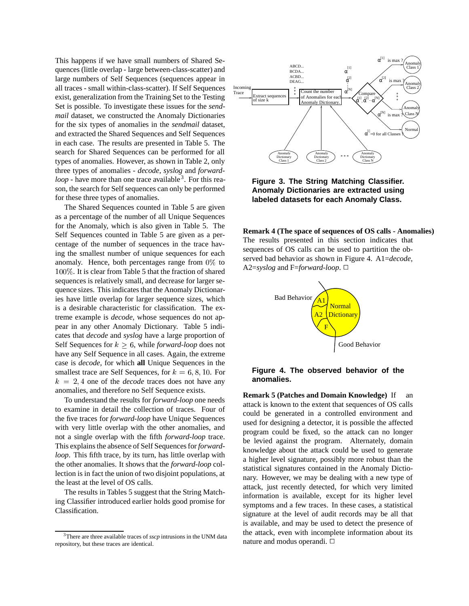This happens if we have small numbers of Shared Sequences (little overlap - large between-class-scatter) and large numbers of Self Sequences (sequences appear in all traces - small within-class-scatter). If Self Sequences exist, generalization from the Training Set to the Testing Set is possible. To investigate these issues for the *sendmail* dataset, we constructed the Anomaly Dictionaries for the six types of anomalies in the *sendmail* dataset, and extracted the Shared Sequences and Self Sequences in each case. The results are presented in Table 5. The search for Shared Sequences can be performed for all types of anomalies. However, as shown in Table 2, only three types of anomalies - *decode*, *syslog* and *forwardloop* - have more than one trace available<sup>3</sup>. For this reason, the search for Self sequences can only be performed for these three types of anomalies.

The Shared Sequences counted in Table 5 are given as a percentage of the number of all Unique Sequences for the Anomaly, which is also given in Table 5. The Self Sequences counted in Table 5 are given as a percentage of the number of sequences in the trace having the smallest number of unique sequences for each anomaly. Hence, both percentages range from 0% to 100%. It is clear from Table 5 that the fraction of shared sequences is relatively small, and decrease for larger sequence sizes. This indicates that the Anomaly Dictionaries have little overlap for larger sequence sizes, which is a desirable characteristic for classification. The extreme example is *decode*, whose sequences do not appear in any other Anomaly Dictionary. Table 5 indicates that *decode* and *syslog* have a large proportion of Self Sequences for  $k \geq 6$ , while *forward-loop* does not have any Self Sequence in all cases. Again, the extreme case is *decode*, for which **all** Unique Sequences in the smallest trace are Self Sequences, for  $k = 6, 8, 10$ . For  $k = 2, 4$  one of the *decode* traces does not have any anomalies, and therefore no Self Sequence exists.

To understand the results for *forward-loop* one needs to examine in detail the collection of traces. Four of the five traces for *forward-loop* have Unique Sequences with very little overlap with the other anomalies, and not a single overlap with the fifth *forward-loop* trace. This explains the absence of Self Sequences for *forwardloop*. This fifth trace, by its turn, has little overlap with the other anomalies. It shows that the *forward-loop* collection is in fact the union of two disjoint populations, at the least at the level of OS calls.

The results in Tables 5 suggest that the String Matching Classifier introduced earlier holds good promise for Classification.



**Figure 3. The String Matching Classifier. Anomaly Dictionaries are extracted using labeled datasets for each Anomaly Class.**

**Remark 4 (The space of sequences of OS calls - Anomalies)** The results presented in this section indicates that sequences of OS calls can be used to partition the observed bad behavior as shown in Figure 4. A1=*decode*, A2=*syslog* and F=*forward-loop*.  $\Box$ 





**Remark 5 (Patches and Domain Knowledge)** If an attack is known to the extent that sequences of OS calls could be generated in a controlled environment and used for designing a detector, it is possible the affected program could be fixed, so the attack can no longer be levied against the program. Alternately, domain knowledge about the attack could be used to generate a higher level signature, possibly more robust than the statistical signatures contained in the Anomaly Dictionary. However, we may be dealing with a new type of attack, just recently detected, for which very limited information is available, except for its higher level symptoms and a few traces. In these cases, a statistical signature at the level of audit records may be all that is available, and may be used to detect the presence of the attack, even with incomplete information about its nature and modus operandi.  $\Box$ 

<sup>3</sup>There are three available traces of *sscp* intrusions in the UNM data repository, but these traces are identical.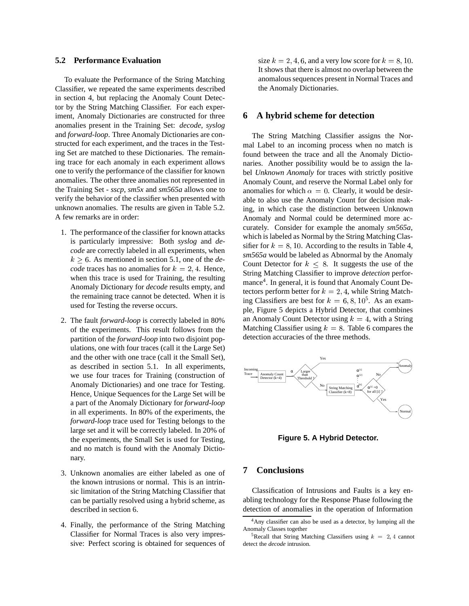#### **5.2 Performance Evaluation**

To evaluate the Performance of the String Matching Classifier, we repeated the same experiments described in section 4, but replacing the Anomaly Count Detector by the String Matching Classifier. For each experiment, Anomaly Dictionaries are constructed for three anomalies present in the Training Set: *decode*, *syslog* and *forward-loop*. Three Anomaly Dictionaries are constructed for each experiment, and the traces in the Testing Set are matched to these Dictionaries. The remaining trace for each anomaly in each experiment allows one to verify the performance of the classifier for known anomalies. The other three anomalies not represented in the Training Set - *sscp*, *sm5x* and *sm565a* allows one to verify the behavior of the classifier when presented with unknown anomalies. The results are given in Table 5.2. A few remarks are in order:

- 1. The performance of the classifier for known attacks is particularly impressive: Both *syslog* and *decode* are correctly labeled in all experiments, when  $k > 6$ . As mentioned in section 5.1, one of the *decode* traces has no anomalies for  $k = 2, 4$ . Hence, when this trace is used for Training, the resulting Anomaly Dictionary for *decode* results empty, and the remaining trace cannot be detected. When it is used for Testing the reverse occurs.
- 2. The fault *forward-loop* is correctly labeled in 80% of the experiments. This result follows from the partition of the *forward-loop* into two disjoint populations, one with four traces (call it the Large Set) and the other with one trace (call it the Small Set), as described in section 5.1. In all experiments, we use four traces for Training (construction of Anomaly Dictionaries) and one trace for Testing. Hence, Unique Sequences for the Large Set will be a part of the Anomaly Dictionary for *forward-loop* in all experiments. In 80% of the experiments, the *forward-loop* trace used for Testing belongs to the large set and it will be correctly labeled. In 20% of the experiments, the Small Set is used for Testing, and no match is found with the Anomaly Dictionary.
- 3. Unknown anomalies are either labeled as one of the known intrusions or normal. This is an intrinsic limitation of the String Matching Classifier that can be partially resolved using a hybrid scheme, as described in section 6.
- 4. Finally, the performance of the String Matching Classifier for Normal Traces is also very impressive: Perfect scoring is obtained for sequences of

size  $k = 2, 4, 6$ , and a very low score for  $k = 8, 10$ . It shows that there is almost no overlap between the anomalous sequences present in Normal Traces and the Anomaly Dictionaries.

### **6 A hybrid scheme for detection**

The String Matching Classifier assigns the Normal Label to an incoming process when no match is found between the trace and all the Anomaly Dictionaries. Another possibility would be to assign the label *Unknown Anomaly* for traces with strictly positive Anomaly Count, and reserve the Normal Label only for anomalies for which  $\alpha = 0$ . Clearly, it would be desirable to also use the Anomaly Count for decision making, in which case the distinction between Unknown Anomaly and Normal could be determined more accurately. Consider for example the anomaly *sm565a*, which is labeled as Normal by the String Matching Classifier for  $k = 8, 10$ . According to the results in Table 4, *sm565a* would be labeled as Abnormal by the Anomaly Count Detector for  $k \leq 8$ . It suggests the use of the String Matching Classifier to improve *detection* performance<sup>4</sup>. In general, it is found that Anomaly Count Detectors perform better for  $k = 2, 4$ , while String Matching Classifiers are best for  $k = 6, 8, 10^5$ . As an example, Figure 5 depicts a Hybrid Detector, that combines an Anomaly Count Detector using  $k = 4$ , with a String Matching Classifier using  $k = 8$ . Table 6 compares the detection accuracies of the three methods.



**Figure 5. A Hybrid Detector.**

### **7 Conclusions**

Classification of Intrusions and Faults is a key enabling technology for the Response Phase following the detection of anomalies in the operation of Information

<sup>&</sup>lt;sup>4</sup>Any classifier can also be used as a detector, by lumping all the Anomaly Classes together

<sup>&</sup>lt;sup>5</sup>Recall that String Matching Classifiers using  $k = 2, 4$  cannot detect the *decode* intrusion.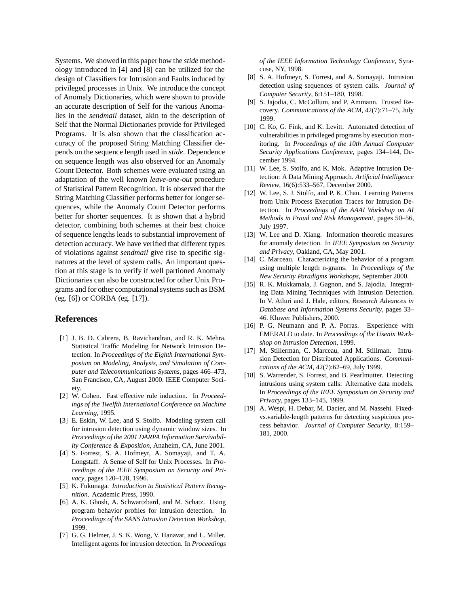Systems. We showed in this paper how the *stide* methodology introduced in [4] and [8] can be utilized for the design of Classifiers for Intrusion and Faults induced by privileged processes in Unix. We introduce the concept of Anomaly Dictionaries, which were shown to provide an accurate description of Self for the various Anomalies in the *sendmail* dataset, akin to the description of Self that the Normal Dictionaries provide for Privileged Programs. It is also shown that the classification accuracy of the proposed String Matching Classifier depends on the sequence length used in *stide*. Dependence on sequence length was also observed for an Anomaly Count Detector. Both schemes were evaluated using an adaptation of the well known *leave-one-out* procedure of Statistical Pattern Recognition. It is observed that the String Matching Classifier performs better for longer sequences, while the Anomaly Count Detector performs better for shorter sequences. It is shown that a hybrid detector, combining both schemes at their best choice of sequence lengths leads to substantial improvement of detection accuracy. We have verified that different types of violations against *sendmail* give rise to specific signatures at the level of system calls. An important question at this stage is to verify if well partioned Anomaly Dictionaries can also be constructed for other Unix Programs and for other computational systems such as BSM (eg. [6]) or CORBA (eg. [17]).

### **References**

- [1] J. B. D. Cabrera, B. Ravichandran, and R. K. Mehra. Statistical Traffic Modeling for Network Intrusion Detection. In *Proceedings of the Eighth International Symposium on Modeling, Analysis, and Simulation of Computer and Telecommunications Systems*, pages 466–473, San Francisco, CA, August 2000. IEEE Computer Society.
- [2] W. Cohen. Fast effective rule induction. In *Proceedings of the Twelfth International Conference on Machine Learning*, 1995.
- [3] E. Eskin, W. Lee, and S. Stolfo. Modeling system call for intrusion detection using dynamic window sizes. In *Proceedings of the 2001 DARPA Information Survivability Conference & Exposition*, Anaheim, CA, June 2001.
- [4] S. Forrest, S. A. Hofmeyr, A. Somayaji, and T. A. Longstaff. A Sense of Self for Unix Processes. In *Proceedings of the IEEE Symposium on Security and Privacy*, pages 120–128, 1996.
- [5] K. Fukunaga. *Introduction to Statistical Pattern Recognition*. Academic Press, 1990.
- [6] A. K. Ghosh, A. Schwartzbard, and M. Schatz. Using program behavior profiles for intrusion detection. In *Proceedings of the SANS Intrusion Detection Workshop*, 1999.
- [7] G. G. Helmer, J. S. K. Wong, V. Hanavar, and L. Miller. Intelligent agents for intrusion detection. In *Proceedings*

*of the IEEE Information Technology Conference*, Syracuse, NY, 1998.

- [8] S. A. Hofmeyr, S. Forrest, and A. Somayaji. Intrusion detection using sequences of system calls. *Journal of Computer Security*, 6:151–180, 1998.
- [9] S. Jajodia, C. McCollum, and P. Ammann. Trusted Recovery. *Communications of the ACM*, 42(7):71–75, July 1999.
- [10] C. Ko, G. Fink, and K. Levitt. Automated detection of vulnerabilities in privileged programs by execution monitoring. In *Proceedings of the 10th Annual Computer Security Applications Conference*, pages 134–144, December 1994.
- [11] W. Lee, S. Stolfo, and K. Mok. Adaptive Intrusion Detection: A Data Mining Approach. *Artificial Intelligence Review*, 16(6):533–567, December 2000.
- [12] W. Lee, S. J. Stolfo, and P. K. Chan. Learning Patterns from Unix Process Execution Traces for Intrusion Detection. In *Proceedings of the AAAI Workshop on AI Methods in Fraud and Risk Management*, pages 50–56, July 1997.
- [13] W. Lee and D. Xiang. Information theoretic measures for anomaly detection. In *IEEE Symposium on Security and Privacy*, Oakland, CA, May 2001.
- [14] C. Marceau. Characterizing the behavior of a program using multiple length n-grams. In *Proceedings of the New Security Paradigms Workshops*, September 2000.
- [15] R. K. Mukkamala, J. Gagnon, and S. Jajodia. Integrating Data Mining Techniques with Intrusion Detection. In V. Atluri and J. Hale, editors, *Research Advances in Database and Information Systems Security*, pages 33– 46. Kluwer Publishers, 2000.
- [16] P. G. Neumann and P. A. Porras. Experience with EMERALD to date. In *Proceedings of the Usenix Workshop on Intrusion Detection*, 1999.
- [17] M. Stillerman, C. Marceau, and M. Stillman. Intrusion Detection for Distributed Applications. *Communications of the ACM*, 42(7):62–69, July 1999.
- [18] S. Warrender, S. Forrest, and B. Pearlmutter. Detecting intrusions using system calls: Alternative data models. In *Proceedings of the IEEE Symposium on Security and Privacy*, pages 133–145, 1999.
- [19] A. Wespi, H. Debar, M. Dacier, and M. Nassehi. Fixedvs.variable-length patterns for detecting suspicious process behavior. *Journal of Computer Security*, 8:159– 181, 2000.